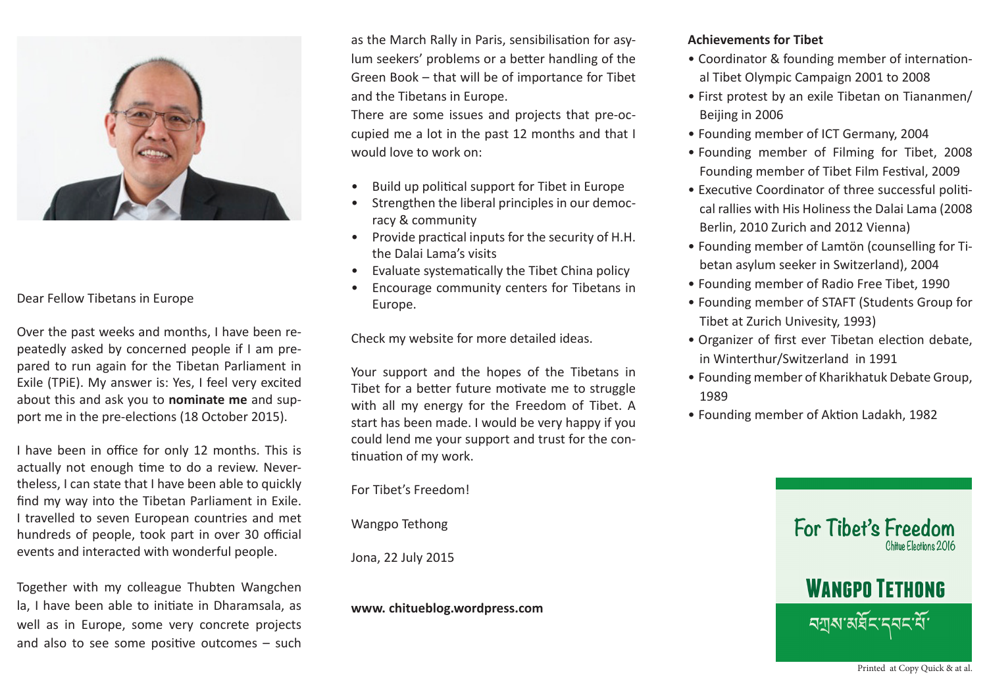

# Dear Fellow Tibetans in Europe

Over the past weeks and months, I have been repeatedly asked by concerned people if I am prepared to run again for the Tibetan Parliament in Exile (TPiE). My answer is: Yes, I feel very excited about this and ask you to **nominate me** and support me in the pre-elections (18 October 2015).

I have been in office for only 12 months. This is actually not enough time to do a review. Nevertheless, I can state that I have been able to quickly find my way into the Tibetan Parliament in Exile. I travelled to seven European countries and met hundreds of people, took part in over 30 official events and interacted with wonderful people.

Together with my colleague Thubten Wangchen la, I have been able to initiate in Dharamsala, as well as in Europe, some very concrete projects and also to see some positive outcomes – such

as the March Rally in Paris, sensibilisation for asylum seekers' problems or a better handling of the Green Book – that will be of importance for Tibet and the Tibetans in Europe.

There are some issues and projects that pre-occupied me a lot in the past 12 months and that I would love to work on:

- Build up political support for Tibet in Europe
- Strengthen the liberal principles in our democracy & community
- Provide practical inputs for the security of H.H. the Dalai Lama's visits
- Evaluate systematically the Tibet China policy
- Encourage community centers for Tibetans in Europe.

Check my website for more detailed ideas.

Your support and the hopes of the Tibetans in Tibet for a better future motivate me to struggle with all my energy for the Freedom of Tibet. A start has been made. I would be very happy if you could lend me your support and trust for the continuation of my work.

For Tibet's Freedom!

Wangpo Tethong

Jona, 22 July 2015

**www. chitueblog.wordpress.com**

# **Achievements for Tibet**

- Coordinator & founding member of international Tibet Olympic Campaign 2001 to 2008
- First protest by an exile Tibetan on Tiananmen/ Beijing in 2006
- Founding member of ICT Germany, 2004
- Founding member of Filming for Tibet, 2008 Founding member of Tibet Film Festival, 2009
- Executive Coordinator of three successful political rallies with His Holiness the Dalai Lama (2008 Berlin, 2010 Zurich and 2012 Vienna)
- Founding member of Lamtön (counselling for Tibetan asylum seeker in Switzerland), 2004
- Founding member of Radio Free Tibet, 1990
- Founding member of STAFT (Students Group for Tibet at Zurich Univesity, 1993)
- Organizer of first ever Tibetan election debate, in Winterthur/Switzerland in 1991
- Founding member of Kharikhatuk Debate Group, 1989
- Founding member of Aktion Ladakh, 1982



Printed at Copy Quick & at al.